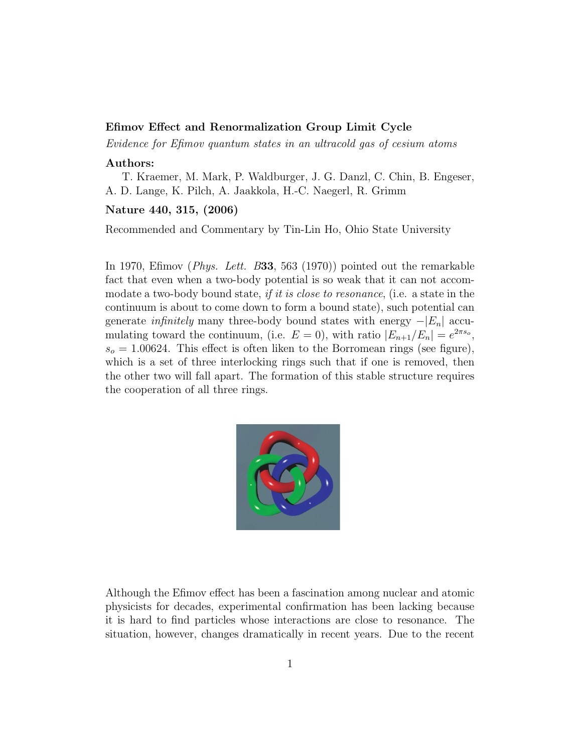## Efimov Effect and Renormalization Group Limit Cycle

Evidence for Efimov quantum states in an ultracold gas of cesium atoms

## Authors:

T. Kraemer, M. Mark, P. Waldburger, J. G. Danzl, C. Chin, B. Engeser, A. D. Lange, K. Pilch, A. Jaakkola, H.-C. Naegerl, R. Grimm

## Nature 440, 315, (2006)

Recommended and Commentary by Tin-Lin Ho, Ohio State University

In 1970, Efimov (Phys. Lett. B33, 563 (1970)) pointed out the remarkable fact that even when a two-body potential is so weak that it can not accommodate a two-body bound state, if it is close to resonance, (i.e. a state in the continuum is about to come down to form a bound state), such potential can generate *infinitely* many three-body bound states with energy  $-|E_n|$  accumulating toward the continuum, (i.e.  $E = 0$ ), with ratio  $|E_{n+1}/E_n| = e^{2\pi s_o}$ ,  $s_o = 1.00624$ . This effect is often liken to the Borromean rings (see figure), which is a set of three interlocking rings such that if one is removed, then the other two will fall apart. The formation of this stable structure requires the cooperation of all three rings.



Although the Efimov effect has been a fascination among nuclear and atomic physicists for decades, experimental confirmation has been lacking because it is hard to find particles whose interactions are close to resonance. The situation, however, changes dramatically in recent years. Due to the recent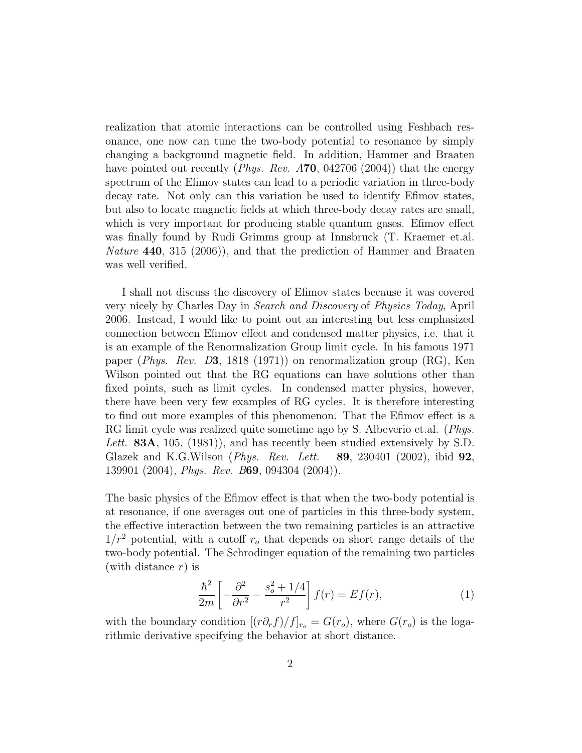realization that atomic interactions can be controlled using Feshbach resonance, one now can tune the two-body potential to resonance by simply changing a background magnetic field. In addition, Hammer and Braaten have pointed out recently (*Phys. Rev.*  $A70$ , 042706 (2004)) that the energy spectrum of the Efimov states can lead to a periodic variation in three-body decay rate. Not only can this variation be used to identify Efimov states, but also to locate magnetic fields at which three-body decay rates are small, which is very important for producing stable quantum gases. Efimov effect was finally found by Rudi Grimms group at Innsbruck (T. Kraemer et.al. Nature 440, 315 (2006), and that the prediction of Hammer and Braaten was well verified.

I shall not discuss the discovery of Efimov states because it was covered very nicely by Charles Day in Search and Discovery of Physics Today, April 2006. Instead, I would like to point out an interesting but less emphasized connection between Efimov effect and condensed matter physics, i.e. that it is an example of the Renormalization Group limit cycle. In his famous 1971 paper (Phys. Rev. D3, 1818 (1971)) on renormalization group (RG), Ken Wilson pointed out that the RG equations can have solutions other than fixed points, such as limit cycles. In condensed matter physics, however, there have been very few examples of RG cycles. It is therefore interesting to find out more examples of this phenomenon. That the Efimov effect is a RG limit cycle was realized quite sometime ago by S. Albeverio et.al. (*Phys.* Lett. 83A, 105, (1981)), and has recently been studied extensively by S.D. Glazek and K.G.Wilson (*Phys. Rev. Lett.* **89**, 230401 (2002), ibid  $92$ , 139901 (2004), Phys. Rev. B69, 094304 (2004)).

The basic physics of the Efimov effect is that when the two-body potential is at resonance, if one averages out one of particles in this three-body system, the effective interaction between the two remaining particles is an attractive  $1/r^2$  potential, with a cutoff  $r<sub>o</sub>$  that depends on short range details of the two-body potential. The Schrodinger equation of the remaining two particles (with distance  $r$ ) is

$$
\frac{\hbar^2}{2m} \left[ -\frac{\partial^2}{\partial r^2} - \frac{s_o^2 + 1/4}{r^2} \right] f(r) = E f(r),\tag{1}
$$

with the boundary condition  $[(r\partial_r f)/f]_{r_o} = G(r_o)$ , where  $G(r_o)$  is the logarithmic derivative specifying the behavior at short distance.